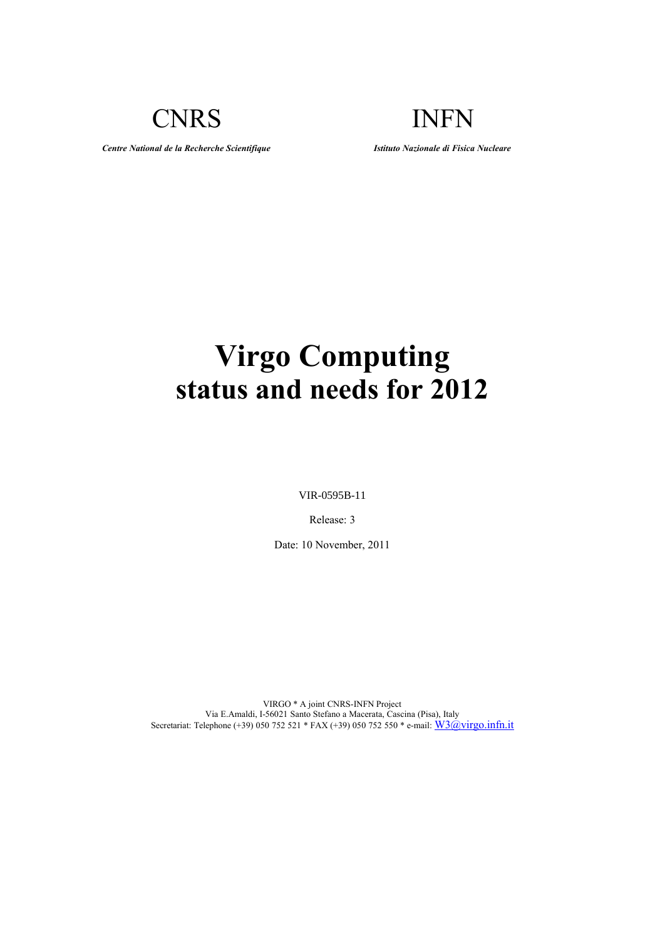CNRS INFN

*Centre National de la Recherche Scientifique Istituto Nazionale di Fisica Nucleare*

# **Virgo Computing status and needs for 2012**

VIR-0595B-11

Release: 3

Date: 10 November, 2011

VIRGO \* A joint CNRS-INFN Project Via E.Amaldi, I-56021 Santo Stefano a Macerata, Cascina (Pisa), Italy Secretariat: Telephone (+39) 050 752 521 \* FAX (+39) 050 752 550 \* e-mail: [W3@virgo.infn.it](mailto:virgo@Pisa.infn.it)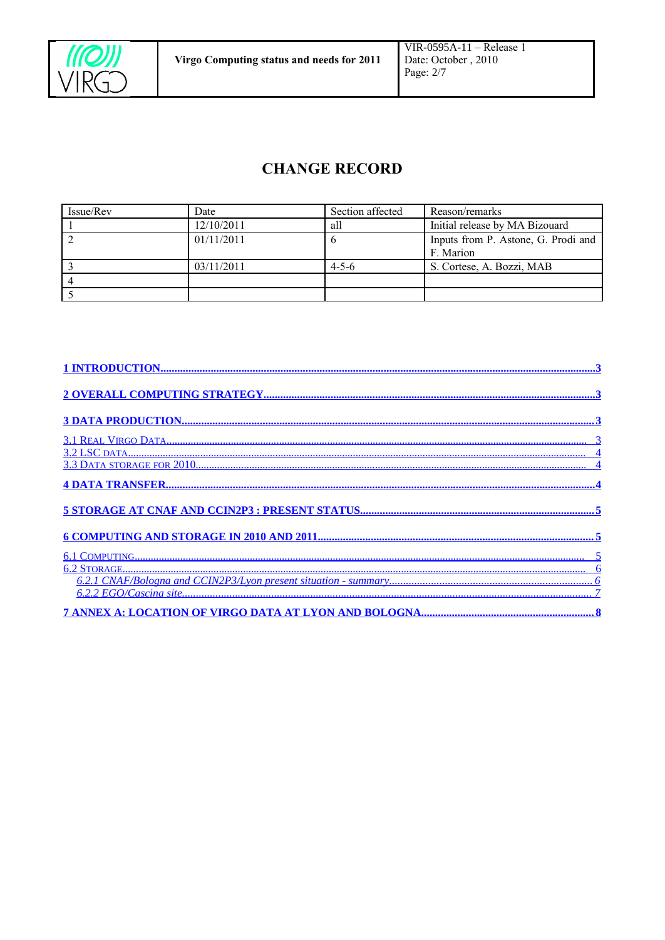

## <span id="page-1-0"></span>**CHANGE RECORD**

| Issue/Rev | Date       | Section affected | Reason/remarks                      |
|-----------|------------|------------------|-------------------------------------|
|           | 12/10/2011 | all              | Initial release by MA Bizouard      |
|           | 01/11/2011 |                  | Inputs from P. Astone, G. Prodi and |
|           |            |                  | F. Marion                           |
|           | 03/11/2011 | $4 - 5 - 6$      | S. Cortese, A. Bozzi, MAB           |
|           |            |                  |                                     |
|           |            |                  |                                     |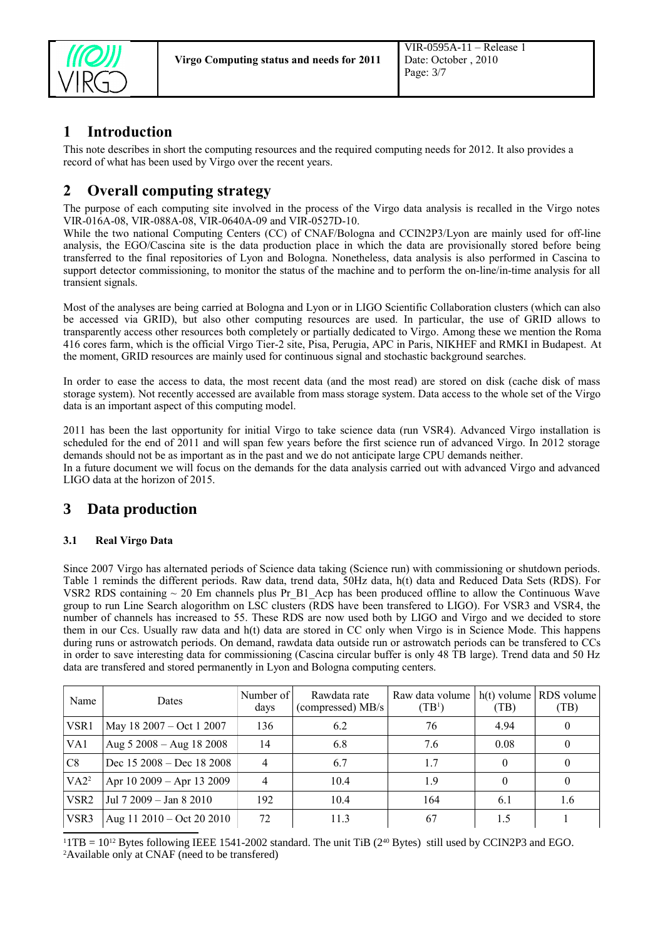

## <span id="page-2-3"></span>**1 Introduction**

This note describes in short the computing resources and the required computing needs for 2012. It also provides a record of what has been used by Virgo over the recent years.

## <span id="page-2-2"></span>**2 Overall computing strategy**

The purpose of each computing site involved in the process of the Virgo data analysis is recalled in the Virgo notes VIR-016A-08, VIR-088A-08, VIR-0640A-09 and VIR-0527D-10.

While the two national Computing Centers (CC) of CNAF/Bologna and CCIN2P3/Lyon are mainly used for off-line analysis, the EGO/Cascina site is the data production place in which the data are provisionally stored before being transferred to the final repositories of Lyon and Bologna. Nonetheless, data analysis is also performed in Cascina to support detector commissioning, to monitor the status of the machine and to perform the on-line/in-time analysis for all transient signals.

Most of the analyses are being carried at Bologna and Lyon or in LIGO Scientific Collaboration clusters (which can also be accessed via GRID), but also other computing resources are used. In particular, the use of GRID allows to transparently access other resources both completely or partially dedicated to Virgo. Among these we mention the Roma 416 cores farm, which is the official Virgo Tier-2 site, Pisa, Perugia, APC in Paris, NIKHEF and RMKI in Budapest. At the moment, GRID resources are mainly used for continuous signal and stochastic background searches.

In order to ease the access to data, the most recent data (and the most read) are stored on disk (cache disk of mass storage system). Not recently accessed are available from mass storage system. Data access to the whole set of the Virgo data is an important aspect of this computing model.

2011 has been the last opportunity for initial Virgo to take science data (run VSR4). Advanced Virgo installation is scheduled for the end of 2011 and will span few years before the first science run of advanced Virgo. In 2012 storage demands should not be as important as in the past and we do not anticipate large CPU demands neither. In a future document we will focus on the demands for the data analysis carried out with advanced Virgo and advanced

LIGO data at the horizon of 2015.

### <span id="page-2-1"></span>**3 Data production**

#### <span id="page-2-0"></span>**3.1 Real Virgo Data**

Since 2007 Virgo has alternated periods of Science data taking (Science run) with commissioning or shutdown periods. Table 1 reminds the different periods. Raw data, trend data, 50Hz data, h(t) data and Reduced Data Sets (RDS). For VSR2 RDS containing  $\sim$  20 Em channels plus Pr B1. Acp has been produced offline to allow the Continuous Wave group to run Line Search alogorithm on LSC clusters (RDS have been transfered to LIGO). For VSR3 and VSR4, the number of channels has increased to 55. These RDS are now used both by LIGO and Virgo and we decided to store them in our Ccs. Usually raw data and h(t) data are stored in CC only when Virgo is in Science Mode. This happens during runs or astrowatch periods. On demand, rawdata data outside run or astrowatch periods can be transfered to CCs in order to save interesting data for commissioning (Cascina circular buffer is only 48 TB large). Trend data and 50 Hz data are transfered and stored permanently in Lyon and Bologna computing centers.

| Name             | Dates                                 | Number of<br>days | Rawdata rate<br>(compressed) MB/s | Raw data volume<br>(TB <sup>1</sup> ) | $h(t)$ volume<br>(TB) | RDS volume<br>(TB) |
|------------------|---------------------------------------|-------------------|-----------------------------------|---------------------------------------|-----------------------|--------------------|
| VSR1             | May 18 2007 – Oct 1 2007              | 136               | 6.2                               | 76                                    | 4.94                  | 0                  |
| VA1              | Aug $5\,2008 -$ Aug 18 2008           | 14                | 6.8                               | 7.6                                   | 0.08                  | $\overline{0}$     |
| C8               | Dec $15\,2008 - \text{Dec } 18\,2008$ |                   | 6.7                               | 1.7                                   |                       | $\overline{0}$     |
| VA2 <sup>2</sup> | Apr 10 2009 - Apr 13 2009             |                   | 10.4                              | 19                                    |                       | $\mathbf{0}$       |
| VSR <sub>2</sub> | Jul 7 2009 - Jan 8 2010               | 192               | 10.4                              | 164                                   | 6.1                   | 1.6                |
| VSR3             | Aug $11\,2010 - \text{Oct } 20\,2010$ | 72                | 11.3                              | 67                                    | 15                    |                    |

<span id="page-2-5"></span><span id="page-2-4"></span> $11TB = 10^{12}$  Bytes following IEEE 1541-2002 standard. The unit TiB (2<sup>40</sup> Bytes) still used by CCIN2P3 and EGO. 2Available only at CNAF (need to be transfered)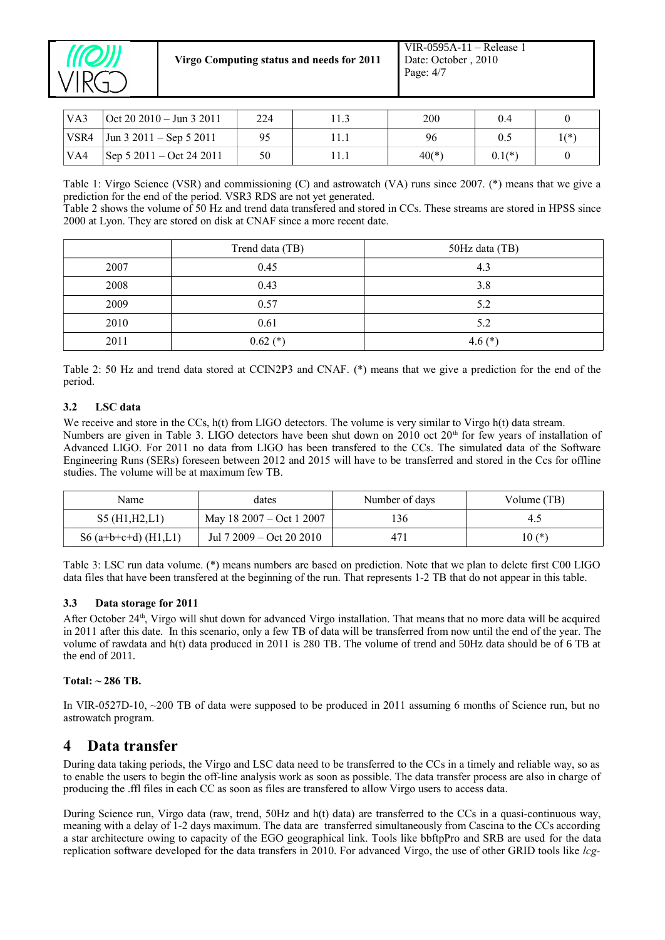

**Virgo Computing status and needs for 2011**

| $\mathsf{VA3}$ | $\vert$ Oct 20 2010 – Jun 3 2011     | 224 | 200     | 0.4      |        |
|----------------|--------------------------------------|-----|---------|----------|--------|
| VSR4           | $\vert$ Jun 3 2011 – Sep 5 2011      | 95  | 96      |          | $1(*)$ |
| VA4            | Sep $5\ 2011 - \text{Oct } 24\ 2011$ | 50  | $40(*)$ | $0.1(*)$ |        |

Table 1: Virgo Science (VSR) and commissioning (C) and astrowatch (VA) runs since 2007. (\*) means that we give a prediction for the end of the period. VSR3 RDS are not yet generated.

Table 2 shows the volume of 50 Hz and trend data transfered and stored in CCs. These streams are stored in HPSS since 2000 at Lyon. They are stored on disk at CNAF since a more recent date.

|      | Trend data (TB) | 50Hz data (TB) |
|------|-----------------|----------------|
| 2007 | 0.45            | 4.3            |
| 2008 | 0.43            | 3.8            |
| 2009 | 0.57            | 5.2            |
| 2010 | 0.61            | 5.2            |
| 2011 | $0.62$ (*)      | 4.6 $(*)$      |

Table 2: 50 Hz and trend data stored at CCIN2P3 and CNAF. (\*) means that we give a prediction for the end of the period.

#### <span id="page-3-2"></span>**3.2 LSC data**

We receive and store in the CCs, h(t) from LIGO detectors. The volume is very similar to Virgo h(t) data stream. Numbers are given in Table 3. LIGO detectors have been shut down on 2010 oct  $20<sup>th</sup>$  for few years of installation of Advanced LIGO. For 2011 no data from LIGO has been transfered to the CCs. The simulated data of the Software Engineering Runs (SERs) foreseen between 2012 and 2015 will have to be transferred and stored in the Ccs for offline studies. The volume will be at maximum few TB.

| Name                   | dates                    | Number of days | Volume (TB) |
|------------------------|--------------------------|----------------|-------------|
| S5(H1,H2,L1)           | May 18 2007 – Oct 1 2007 | 136            |             |
| S6 $(a+b+c+d)$ (H1,L1) | Jul 7 2009 – Oct 20 2010 | 471            | $10(*)$     |

Table 3: LSC run data volume. (\*) means numbers are based on prediction. Note that we plan to delete first C00 LIGO data files that have been transfered at the beginning of the run. That represents 1-2 TB that do not appear in this table.

#### <span id="page-3-1"></span>**3.3 Data storage for 2011**

After October 24<sup>th</sup>, Virgo will shut down for advanced Virgo installation. That means that no more data will be acquired in 2011 after this date. In this scenario, only a few TB of data will be transferred from now until the end of the year. The volume of rawdata and h(t) data produced in 2011 is 280 TB. The volume of trend and 50Hz data should be of 6 TB at the end of 2011.

#### **Total: ~ 286 TB.**

In VIR-0527D-10, ~200 TB of data were supposed to be produced in 2011 assuming 6 months of Science run, but no astrowatch program.

#### <span id="page-3-0"></span>**4 Data transfer**

During data taking periods, the Virgo and LSC data need to be transferred to the CCs in a timely and reliable way, so as to enable the users to begin the off-line analysis work as soon as possible. The data transfer process are also in charge of producing the .ffl files in each CC as soon as files are transfered to allow Virgo users to access data.

During Science run, Virgo data (raw, trend, 50Hz and h(t) data) are transferred to the CCs in a quasi-continuous way, meaning with a delay of 1-2 days maximum. The data are transferred simultaneously from Cascina to the CCs according a star architecture owing to capacity of the EGO geographical link. Tools like bbftpPro and SRB are used for the data replication software developed for the data transfers in 2010. For advanced Virgo, the use of other GRID tools like *lcg-*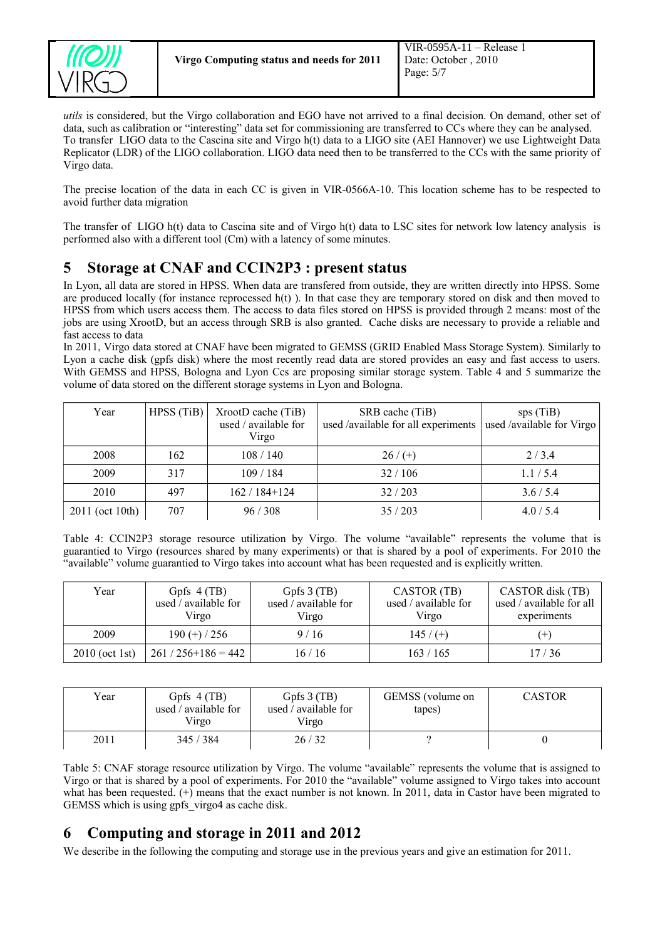

*utils* is considered, but the Virgo collaboration and EGO have not arrived to a final decision. On demand, other set of data, such as calibration or "interesting" data set for commissioning are transferred to CCs where they can be analysed. To transfer LIGO data to the Cascina site and Virgo h(t) data to a LIGO site (AEI Hannover) we use Lightweight Data Replicator (LDR) of the LIGO collaboration. LIGO data need then to be transferred to the CCs with the same priority of Virgo data.

The precise location of the data in each CC is given in VIR-0566A-10. This location scheme has to be respected to avoid further data migration

The transfer of LIGO h(t) data to Cascina site and of Virgo h(t) data to LSC sites for network low latency analysis is performed also with a different tool (Cm) with a latency of some minutes.

## <span id="page-4-1"></span>**5 Storage at CNAF and CCIN2P3 : present status**

In Lyon, all data are stored in HPSS. When data are transfered from outside, they are written directly into HPSS. Some are produced locally (for instance reprocessed  $h(t)$ ). In that case they are temporary stored on disk and then moved to HPSS from which users access them. The access to data files stored on HPSS is provided through 2 means: most of the jobs are using XrootD, but an access through SRB is also granted. Cache disks are necessary to provide a reliable and fast access to data

In 2011, Virgo data stored at CNAF have been migrated to GEMSS (GRID Enabled Mass Storage System). Similarly to Lyon a cache disk (gpfs disk) where the most recently read data are stored provides an easy and fast access to users. With GEMSS and HPSS, Bologna and Lyon Ccs are proposing similar storage system. Table 4 and 5 summarize the volume of data stored on the different storage systems in Lyon and Bologna.

| Year            | HPSS(TiB) | XrootD cache (TiB)<br>used / available for<br>Virgo | SRB cache (TiB)<br>used /available for all experiments | sps(TiB)<br>used /available for Virgo |
|-----------------|-----------|-----------------------------------------------------|--------------------------------------------------------|---------------------------------------|
| 2008            | 162       | 108/140                                             | $26/(+)$                                               | 2/3.4                                 |
| 2009            | 317       | 109/184                                             | 32/106                                                 | 1.1/5.4                               |
| 2010            | 497       | $162/184+124$                                       | 32/203                                                 | 3.6/5.4                               |
| 2011 (oct 10th) | 707       | 96/308                                              | 35/203                                                 | 4.0 / 5.4                             |

Table 4: CCIN2P3 storage resource utilization by Virgo. The volume "available" represents the volume that is guarantied to Virgo (resources shared by many experiments) or that is shared by a pool of experiments. For 2010 the "available" volume guarantied to Virgo takes into account what has been requested and is explicitly written.

| Year             | Gpfs $4(TB)$<br>used / available for<br>Virgo | Gpfs 3 (TB)<br>used / available for<br>Virgo | CASTOR (TB)<br>used / available for<br>Virgo | CASTOR disk (TB)<br>used / available for all<br>experiments |
|------------------|-----------------------------------------------|----------------------------------------------|----------------------------------------------|-------------------------------------------------------------|
| 2009             | $190 (+) / 256$                               | 9/16                                         | $145/$ (+)                                   | $(+)$                                                       |
| $2010$ (oct 1st) | $261/256+186=442$                             | 16 / 16                                      | 163/165                                      | 17/36                                                       |

| Year | Gpfs $4(TB)$<br>used / available for<br>Virgo | Gpfs $3$ (TB)<br>used / available for<br>Virgo | GEMSS (volume on<br>tapes) | <b>CASTOR</b> |
|------|-----------------------------------------------|------------------------------------------------|----------------------------|---------------|
| 2011 | 345 / 384                                     | 26/32                                          |                            |               |

Table 5: CNAF storage resource utilization by Virgo. The volume "available" represents the volume that is assigned to Virgo or that is shared by a pool of experiments. For 2010 the "available" volume assigned to Virgo takes into account what has been requested. (+) means that the exact number is not known. In 2011, data in Castor have been migrated to GEMSS which is using gpfs\_virgo4 as cache disk.

## <span id="page-4-0"></span>**6 Computing and storage in 2011 and 2012**

We describe in the following the computing and storage use in the previous years and give an estimation for 2011.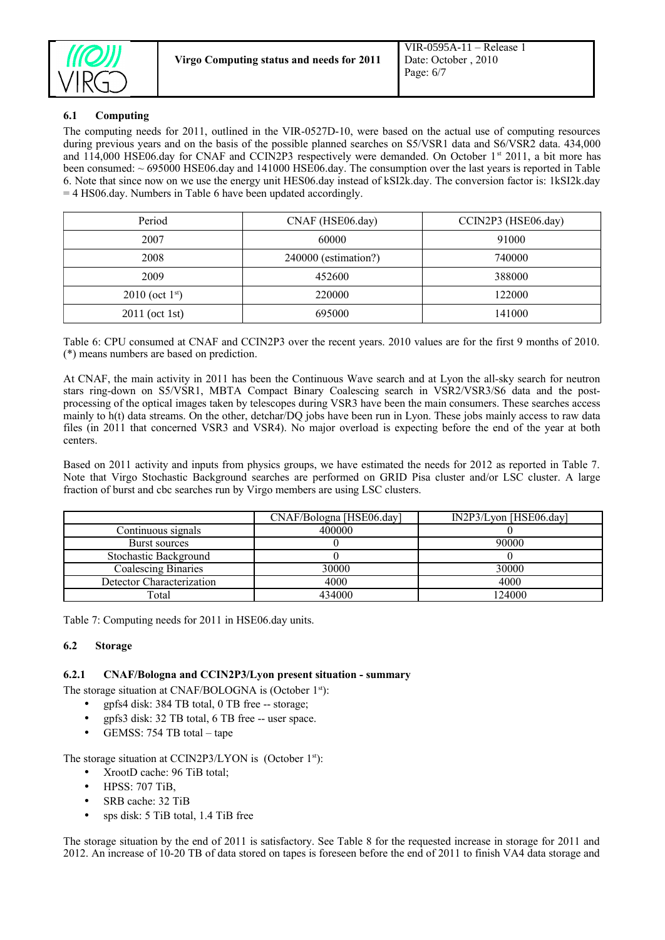

#### <span id="page-5-2"></span>**6.1 Computing**

The computing needs for 2011, outlined in the VIR-0527D-10, were based on the actual use of computing resources during previous years and on the basis of the possible planned searches on S5/VSR1 data and S6/VSR2 data. 434,000 and 114,000 HSE06.day for CNAF and CCIN2P3 respectively were demanded. On October 1st 2011, a bit more has been consumed:  $\sim$  695000 HSE06.day and 141000 HSE06.day. The consumption over the last years is reported in Table 6. Note that since now on we use the energy unit HES06.day instead of kSI2k.day. The conversion factor is: 1kSI2k.day = 4 HS06.day. Numbers in Table 6 have been updated accordingly.

| Period              | CNAF (HSE06.day)     | CCIN2P3 (HSE06.day) |
|---------------------|----------------------|---------------------|
| 2007                | 60000                | 91000               |
| 2008                | 240000 (estimation?) | 740000              |
| 2009                | 452600               | 388000              |
| $2010$ (oct $1st$ ) | 220000               | 122000              |
| $2011$ (oct 1st)    | 695000               | 141000              |

Table 6: CPU consumed at CNAF and CCIN2P3 over the recent years. 2010 values are for the first 9 months of 2010. (\*) means numbers are based on prediction.

At CNAF, the main activity in 2011 has been the Continuous Wave search and at Lyon the all-sky search for neutron stars ring-down on S5/VSR1, MBTA Compact Binary Coalescing search in VSR2/VSR3/S6 data and the postprocessing of the optical images taken by telescopes during VSR3 have been the main consumers. These searches access mainly to h(t) data streams. On the other, detchar/DQ jobs have been run in Lyon. These jobs mainly access to raw data files (in 2011 that concerned VSR3 and VSR4). No major overload is expecting before the end of the year at both centers.

Based on 2011 activity and inputs from physics groups, we have estimated the needs for 2012 as reported in Table 7. Note that Virgo Stochastic Background searches are performed on GRID Pisa cluster and/or LSC cluster. A large fraction of burst and cbc searches run by Virgo members are using LSC clusters.

|                            | CNAF/Bologna [HSE06.day] | IN2P3/Lyon [HSE06.day] |
|----------------------------|--------------------------|------------------------|
| Continuous signals         | 400000                   |                        |
| Burst sources              |                          | 90000                  |
| Stochastic Background      |                          |                        |
| <b>Coalescing Binaries</b> | 30000                    | 30000                  |
| Detector Characterization  | 4000                     | 4000                   |
| Fotal                      | 434000                   | 124000                 |

Table 7: Computing needs for 2011 in HSE06.day units.

#### <span id="page-5-1"></span>**6.2 Storage**

#### **6.2.1 CNAF/Bologna and CCIN2P3/Lyon present situation - summary**

The storage situation at CNAF/BOLOGNA is (October 1<sup>st</sup>):

- <span id="page-5-0"></span>• gpfs4 disk: 384 TB total, 0 TB free -- storage;
- gpfs3 disk: 32 TB total, 6 TB free -- user space.
- GEMSS: 754 TB total tape

The storage situation at CCIN2P3/LYON is (October 1<sup>st</sup>):

- XrootD cache: 96 TiB total;
- HPSS: 707 TiB,
- SRB cache: 32 TiB
- sps disk: 5 TiB total, 1.4 TiB free

The storage situation by the end of 2011 is satisfactory. See Table 8 for the requested increase in storage for 2011 and 2012. An increase of 10-20 TB of data stored on tapes is foreseen before the end of 2011 to finish VA4 data storage and